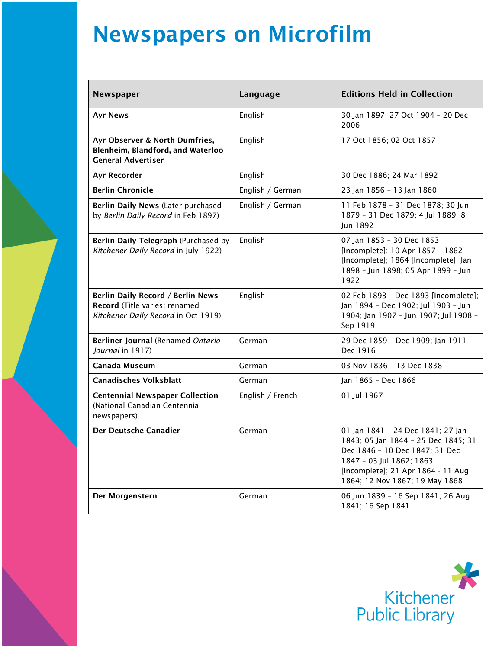## Newspapers on Microfilm

| Newspaper                                                                                                 | Language         | <b>Editions Held in Collection</b>                                                                                                                                                                             |
|-----------------------------------------------------------------------------------------------------------|------------------|----------------------------------------------------------------------------------------------------------------------------------------------------------------------------------------------------------------|
| <b>Ayr News</b>                                                                                           | English          | 30 Jan 1897; 27 Oct 1904 - 20 Dec<br>2006                                                                                                                                                                      |
| Ayr Observer & North Dumfries,<br>Blenheim, Blandford, and Waterloo<br><b>General Advertiser</b>          | English          | 17 Oct 1856; 02 Oct 1857                                                                                                                                                                                       |
| Ayr Recorder                                                                                              | English          | 30 Dec 1886; 24 Mar 1892                                                                                                                                                                                       |
| <b>Berlin Chronicle</b>                                                                                   | English / German | 23 Jan 1856 - 13 Jan 1860                                                                                                                                                                                      |
| Berlin Daily News (Later purchased<br>by Berlin Daily Record in Feb 1897)                                 | English / German | 11 Feb 1878 - 31 Dec 1878; 30 Jun<br>1879 - 31 Dec 1879; 4 Jul 1889; 8<br>Jun 1892                                                                                                                             |
| Berlin Daily Telegraph (Purchased by<br>Kitchener Daily Record in July 1922)                              | English          | 07 Jan 1853 - 30 Dec 1853<br>[Incomplete]; 10 Apr 1857 - 1862<br>[Incomplete]; 1864 [Incomplete]; Jan<br>1898 - Jun 1898; 05 Apr 1899 - Jun<br>1922                                                            |
| Berlin Daily Record / Berlin News<br>Record (Title varies; renamed<br>Kitchener Daily Record in Oct 1919) | English          | 02 Feb 1893 - Dec 1893 [Incomplete];<br>Jan 1894 - Dec 1902; Jul 1903 - Jun<br>1904; Jan 1907 - Jun 1907; Jul 1908 -<br>Sep 1919                                                                               |
| Berliner Journal (Renamed Ontario<br>Journal in 1917)                                                     | German           | 29 Dec 1859 - Dec 1909; Jan 1911 -<br>Dec 1916                                                                                                                                                                 |
| <b>Canada Museum</b>                                                                                      | German           | 03 Nov 1836 - 13 Dec 1838                                                                                                                                                                                      |
| <b>Canadisches Volksblatt</b>                                                                             | German           | Jan 1865 - Dec 1866                                                                                                                                                                                            |
| <b>Centennial Newspaper Collection</b><br>(National Canadian Centennial<br>newspapers)                    | English / French | 01 Jul 1967                                                                                                                                                                                                    |
| Der Deutsche Canadier                                                                                     | German           | 01 Jan 1841 - 24 Dec 1841; 27 Jan<br>1843; 05 Jan 1844 - 25 Dec 1845; 31<br>Dec 1846 - 10 Dec 1847; 31 Dec<br>1847 - 03 Jul 1862; 1863<br>[Incomplete]; 21 Apr 1864 - 11 Aug<br>1864; 12 Nov 1867; 19 May 1868 |
| Der Morgenstern                                                                                           | German           | 06 Jun 1839 - 16 Sep 1841; 26 Aug<br>1841; 16 Sep 1841                                                                                                                                                         |

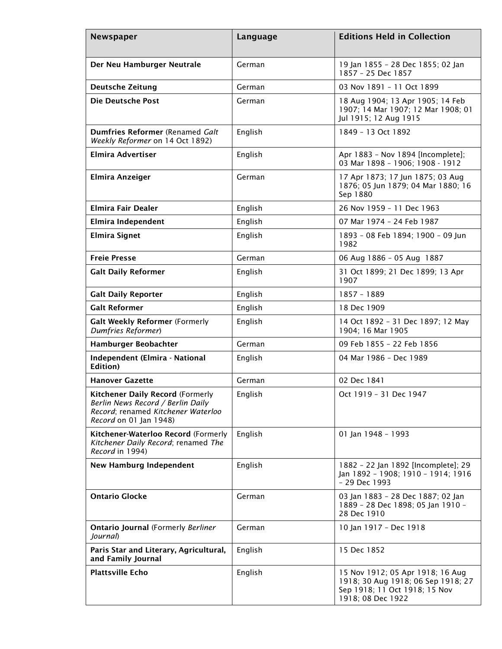| Newspaper                                                                                                                                    | Language | <b>Editions Held in Collection</b>                                                                                           |
|----------------------------------------------------------------------------------------------------------------------------------------------|----------|------------------------------------------------------------------------------------------------------------------------------|
| Der Neu Hamburger Neutrale                                                                                                                   | German   | 19 Jan 1855 - 28 Dec 1855; 02 Jan<br>1857 - 25 Dec 1857                                                                      |
| <b>Deutsche Zeitung</b>                                                                                                                      | German   | 03 Nov 1891 - 11 Oct 1899                                                                                                    |
| <b>Die Deutsche Post</b>                                                                                                                     | German   | 18 Aug 1904; 13 Apr 1905; 14 Feb<br>1907; 14 Mar 1907; 12 Mar 1908; 01<br>Jul 1915; 12 Aug 1915                              |
| Dumfries Reformer (Renamed Galt<br>Weekly Reformer on 14 Oct 1892)                                                                           | English  | 1849 - 13 Oct 1892                                                                                                           |
| <b>Elmira Advertiser</b>                                                                                                                     | English  | Apr 1883 - Nov 1894 [Incomplete];<br>03 Mar 1898 - 1906; 1908 - 1912                                                         |
| Elmira Anzeiger                                                                                                                              | German   | 17 Apr 1873; 17 Jun 1875; 03 Aug<br>1876; 05 Jun 1879; 04 Mar 1880; 16<br>Sep 1880                                           |
| Elmira Fair Dealer                                                                                                                           | English  | 26 Nov 1959 - 11 Dec 1963                                                                                                    |
| Elmira Independent                                                                                                                           | English  | 07 Mar 1974 - 24 Feb 1987                                                                                                    |
| <b>Elmira Signet</b>                                                                                                                         | English  | 1893 - 08 Feb 1894; 1900 - 09 Jun<br>1982                                                                                    |
| <b>Freie Presse</b>                                                                                                                          | German   | 06 Aug 1886 - 05 Aug 1887                                                                                                    |
| <b>Galt Daily Reformer</b>                                                                                                                   | English  | 31 Oct 1899; 21 Dec 1899; 13 Apr<br>1907                                                                                     |
| <b>Galt Daily Reporter</b>                                                                                                                   | English  | 1857 - 1889                                                                                                                  |
| <b>Galt Reformer</b>                                                                                                                         | English  | 18 Dec 1909                                                                                                                  |
| Galt Weekly Reformer (Formerly<br>Dumfries Reformer)                                                                                         | English  | 14 Oct 1892 - 31 Dec 1897; 12 May<br>1904; 16 Mar 1905                                                                       |
| Hamburger Beobachter                                                                                                                         | German   | 09 Feb 1855 - 22 Feb 1856                                                                                                    |
| Independent (Elmira - National<br><b>Edition</b> )                                                                                           | English  | 04 Mar 1986 - Dec 1989                                                                                                       |
| <b>Hanover Gazette</b>                                                                                                                       | German   | 02 Dec 1841                                                                                                                  |
| <b>Kitchener Daily Record (Formerly</b><br>Berlin News Record / Berlin Daily<br>Record; renamed Kitchener Waterloo<br>Record on 01 Jan 1948) | English  | Oct 1919 - 31 Dec 1947                                                                                                       |
| Kitchener-Waterloo Record (Formerly<br>Kitchener Daily Record; renamed The<br>Record in 1994)                                                | English  | 01 Jan 1948 - 1993                                                                                                           |
| <b>New Hamburg Independent</b>                                                                                                               | English  | 1882 - 22 Jan 1892 [Incomplete]; 29<br>Jan 1892 - 1908; 1910 - 1914; 1916<br>- 29 Dec 1993                                   |
| <b>Ontario Glocke</b>                                                                                                                        | German   | 03 Jan 1883 - 28 Dec 1887; 02 Jan<br>1889 - 28 Dec 1898; 05 Jan 1910 -<br>28 Dec 1910                                        |
| <b>Ontario Journal (Formerly Berliner</b><br>Journal)                                                                                        | German   | 10 Jan 1917 - Dec 1918                                                                                                       |
| Paris Star and Literary, Agricultural,<br>and Family Journal                                                                                 | English  | 15 Dec 1852                                                                                                                  |
| <b>Plattsville Echo</b>                                                                                                                      | English  | 15 Nov 1912; 05 Apr 1918; 16 Aug<br>1918; 30 Aug 1918; 06 Sep 1918; 27<br>Sep 1918; 11 Oct 1918; 15 Nov<br>1918; 08 Dec 1922 |